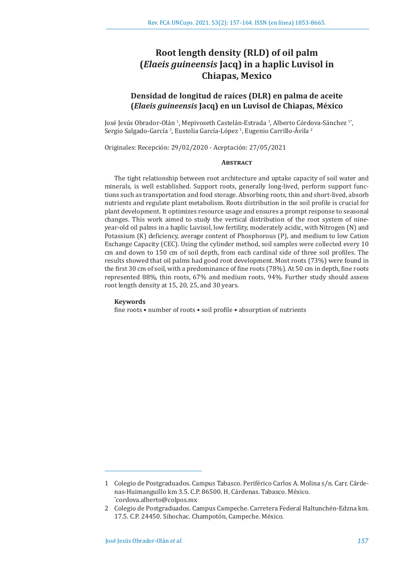# **Root length density (RLD) of oil palm (***Elaeis guineensis* **Jacq) in a haplic Luvisol in Chiapas, Mexico**

# **Densidad de longitud de raíces (DLR) en palma de aceite (***Elaeis guineensis* **Jacq) en un Luvisol de Chiapas, México**

José Jesús Obrador-Olán <sup>1</sup>, Mepivoseth Castelán-Estrada <sup>1</sup>, Alberto Córdova-Sánchez <sup>1</sup>\*, Sergio Salgado-García <sup>1</sup>, Eustolia García-López <sup>1</sup>, Eugenio Carrillo-Avila <sup>2</sup>

Originales: Recepción: 29/02/2020 - Aceptación: 27/05/2021

# **Abstract**

The tight relationship between root architecture and uptake capacity of soil water and minerals, is well established. Support roots, generally long-lived, perform support functions such as transportation and food storage. Absorbing roots, thin and short-lived, absorb nutrients and regulate plant metabolism. Roots distribution in the soil profile is crucial for plant development. It optimizes resource usage and ensures a prompt response to seasonal changes. This work aimed to study the vertical distribution of the root system of nineyear-old oil palms in a haplic Luvisol, low fertility, moderately acidic, with Nitrogen (N) and Potassium (K) deficiency, average content of Phosphorous (P), and medium to low Cation Exchange Capacity (CEC). Using the cylinder method, soil samples were collected every 10 cm and down to 150 cm of soil depth, from each cardinal side of three soil profiles. The results showed that oil palms had good root development. Most roots (73%) were found in the first 30 cm of soil, with a predominance of fine roots (78%). At 50 cm in depth, fine roots represented 88%, thin roots, 67% and medium roots, 94%. Further study should assess root length density at 15, 20, 25, and 30 years.

#### **Keywords**

fine roots • number of roots • soil profile • absorption of nutrients

<sup>1</sup> Colegio de Postgraduados. Campus Tabasco. Periférico Carlos A. Molina s/n. Carr. Cárdenas-Huimanguillo km 3.5. C.P. 86500. H. Cárdenas. Tabasco. México. \* cordova.alberto@colpos.mx

<sup>2</sup> Colegio de Postgraduados. Campus Campeche. Carretera Federal Haltunchén-Edzna km. 17.5. C.P. 24450. Sihochac. Champotón, Campeche. México.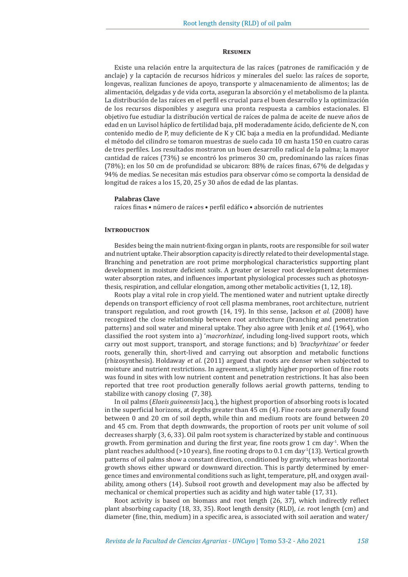## **Resumen**

Existe una relación entre la arquitectura de las raíces (patrones de ramificación y de anclaje) y la captación de recursos hídricos y minerales del suelo: las raíces de soporte, longevas, realizan funciones de apoyo, transporte y almacenamiento de alimentos; las de alimentación, delgadas y de vida corta, aseguran la absorción y el metabolismo de la planta. La distribución de las raíces en el perfil es crucial para el buen desarrollo y la optimización de los recursos disponibles y asegura una pronta respuesta a cambios estacionales. El objetivo fue estudiar la distribución vertical de raíces de palma de aceite de nueve años de edad en un Luvisol háplico de fertilidad baja, pH moderadamente ácido, deficiente de N, con contenido medio de P, muy deficiente de K y CIC baja a media en la profundidad. Mediante el método del cilindro se tomaron muestras de suelo cada 10 cm hasta 150 en cuatro caras de tres perfiles. Los resultados mostraron un buen desarrollo radical de la palma; la mayor cantidad de raíces (73%) se encontró los primeros 30 cm, predominando las raíces finas (78%); en los 50 cm de profundidad se ubicaron: 88% de raíces finas, 67% de delgadas y 94% de medias. Se necesitan más estudios para observar cómo se comporta la densidad de longitud de raíces a los 15, 20, 25 y 30 años de edad de las plantas.

#### **Palabras Clave**

raíces finas • número de raíces • perfil edáfico • absorción de nutrientes

## **INTRODUCTION**

Besides being the main nutrient-fixing organ in plants, roots are responsible for soil water and nutrient uptake. Their absorption capacity is directly related to their developmental stage. Branching and penetration are root prime morphological characteristics supporting plant development in moisture deficient soils. A greater or lesser root development determines water absorption rates, and influences important physiological processes such as photosynthesis, respiration, and cellular elongation, among other metabolic activities (1, 12, 18).

Roots play a vital role in crop yield. The mentioned water and nutrient uptake directly depends on transport efficiency of root cell plasma membranes, root architecture, nutrient transport regulation, and root growth (14, 19). In this sense, Jackson *et al*. (2008) have recognized the close relationship between root architecture (branching and penetration patterns) and soil water and mineral uptake. They also agree with Jenik *et al.* (1964), who classified the root system into a) '*macrorhizae*', including long-lived support roots, which carry out most support, transport, and storage functions; and b) *'brachyrhizae'* or feeder roots, generally thin, short-lived and carrying out absorption and metabolic functions (rhizosynthesis). Holdaway *et al*. (2011) argued that roots are denser when subjected to moisture and nutrient restrictions. In agreement, a slightly higher proportion of fine roots was found in sites with low nutrient content and penetration restrictions. It has also been reported that tree root production generally follows aerial growth patterns, tending to stabilize with canopy closing (7, 38).

In oil palms (*Elaeis guineensis* Jacq.), the highest proportion of absorbing roots is located in the superficial horizons, at depths greater than 45 cm (4). Fine roots are generally found between 0 and 20 cm of soil depth, while thin and medium roots are found between 20 and 45 cm. From that depth downwards, the proportion of roots per unit volume of soil decreases sharply (3, 6, 33). Oil palm root system is characterized by stable and continuous growth. From germination and during the first year, fine roots grow 1 cm day<sup>-1</sup>. When the plant reaches adulthood (>10 years), fine rooting drops to 0.1 cm day<sup>-1</sup>(13). Vertical growth patterns of oil palms show a constant direction, conditioned by gravity, whereas horizontal growth shows either upward or downward direction. This is partly determined by emergence times and environmental conditions such as light, temperature, pH, and oxygen availability, among others (14). Subsoil root growth and development may also be affected by mechanical or chemical properties such as acidity and high water table (17, 31).

Root activity is based on biomass and root length (26, 37), which indirectly reflect plant absorbing capacity (18, 33, 35). Root length density (RLD), *i.e.* root length (cm) and diameter (fine, thin, medium) in a specific area, is associated with soil aeration and water/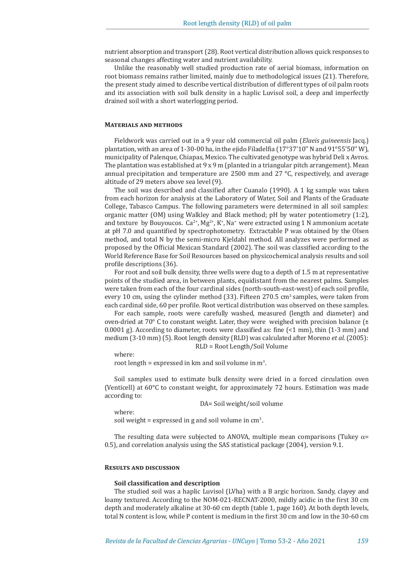nutrient absorption and transport (28). Root vertical distribution allows quick responses to seasonal changes affecting water and nutrient availability.

Unlike the reasonably well studied production rate of aerial biomass, information on root biomass remains rather limited, mainly due to methodological issues (21). Therefore, the present study aimed to describe vertical distribution of different types of oil palm roots and its association with soil bulk density in a haplic Luvisol soil, a deep and imperfectly drained soil with a short waterlogging period.

# **Materials and methods**

Fieldwork was carried out in a 9 year old commercial oil palm (*Elaeis guineensis* Jacq.) plantation, with an area of 1-30-00 ha, in the ejido Filadelfia (17°37'10'' N and 91°55'50'' W), municipality of Palenque, Chiapas, Mexico. The cultivated genotype was hybrid Deli x Avros. The plantation was established at 9 x 9 m (planted in a triangular pitch arrangement). Mean annual precipitation and temperature are 2500 mm and 27 °C, respectively, and average altitude of 29 meters above sea level (9).

The soil was described and classified after Cuanalo (1990). A 1 kg sample was taken from each horizon for analysis at the Laboratory of Water, Soil and Plants of the Graduate College, Tabasco Campus. The following parameters were determined in all soil samples: organic matter (OM) using Walkley and Black method; pH by water potentiometry (1:2), and texture by Bouyoucos.  $Ca^{2+}$ ,  $Mg^{2+}$ , K<sup>+</sup>, Na<sup>+</sup> were extracted using 1 N ammonium acetate at pH 7.0 and quantified by spectrophotometry. Extractable P was obtained by the Olsen method, and total N by the semi-micro Kjeldahl method. All analyzes were performed as proposed by the Official Mexican Standard (2002). The soil was classified according to the World Reference Base for Soil Resources based on physicochemical analysis results and soil profile descriptions (36).

For root and soil bulk density, three wells were dug to a depth of 1.5 m at representative points of the studied area, in between plants, equidistant from the nearest palms. Samples were taken from each of the four cardinal sides (north-south-east-west) of each soil profile, every 10 cm, using the cylinder method  $(33)$ . Fifteen 270.5 cm<sup>3</sup> samples, were taken from each cardinal side, 60 per profile. Root vertical distribution was observed on these samples.

For each sample, roots were carefully washed, measured (length and diameter) and oven-dried at 70 $^{\circ}$  C to constant weight. Later, they were weighed with precision balance  $f_{\pm}$ 0.0001 g). According to diameter, roots were classified as: fine  $\leq 1$  mm), thin  $(1-3)$  mm and medium (3-10 mm) (5). Root length density (RLD) was calculated after Moreno *et al.* (2005): RLD = Root Length/Soil Volume

where:

root length = expressed in  $km$  and soil volume in  $m<sup>3</sup>$ .

Soil samples used to estimate bulk density were dried in a forced circulation oven (Venticell) at 60°C to constant weight, for approximately 72 hours. Estimation was made according to:

DA= Soil weight/soil volume

where:

soil weight = expressed in g and soil volume in  $cm<sup>3</sup>$ .

The resulting data were subjected to ANOVA, multiple mean comparisons (Tukey  $\alpha$ = 0.5), and correlation analysis using the SAS statistical package (2004), version 9.1.

# **Results and discussion**

# **Soil classification and description**

The studied soil was a haplic Luvisol (LVha) with a B argic horizon. Sandy, clayey and loamy textured. According to the NOM-021-RECNAT-2000, mildly acidic in the first 30 cm depth and moderately alkaline at 30-60 cm depth (table 1, page 160). At both depth levels, total N content is low, while P content is medium in the first 30 cm and low in the 30-60 cm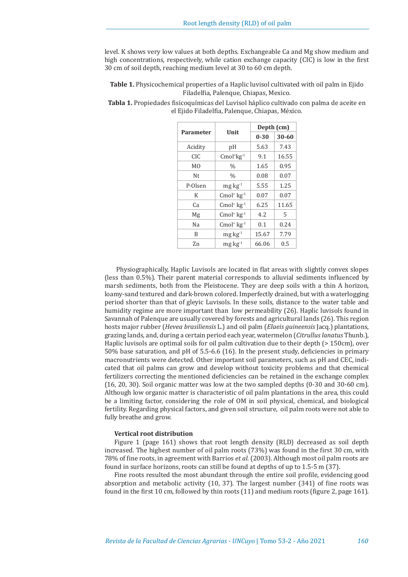level. K shows very low values at both depths. Exchangeable Ca and Mg show medium and high concentrations, respectively, while cation exchange capacity (CIC) is low in the first 30 cm of soil depth, reaching medium level at 30 to 60 cm depth.

**Table 1.** Physicochemical properties of a Haplic luvisol cultivated with oil palm in Ejido Filadelfia, Palenque, Chiapas, Mexico.

| <b>Parameter</b> | Unit                        | Depth (cm) |           |
|------------------|-----------------------------|------------|-----------|
|                  |                             | $0 - 30$   | $30 - 60$ |
| Acidity          | pH                          | 5.63       | 7.43      |
| CIC.             | $Cmol+kg-1$                 | 9.1        | 16.55     |
| M <sub>0</sub>   | $\frac{0}{0}$               | 1.65       | 0.95      |
| Nt               | $\frac{0}{0}$               | 0.08       | 0.07      |
| P-Olsen          | $mg \, kg^{-1}$             | 5.55       | 1.25      |
| К                | $Cmol+ kg-1$                | 0.07       | 0.07      |
| Cа               | Cmol <sup>+</sup> $kg^{-1}$ | 6.25       | 11.65     |
| Mg               | $Cmol+ kg-1$                | 4.2        | 5         |
| Nа               | $Cmol+ kg-1$                | 0.1        | 0.24      |
| B                | $mg \, kg^{-1}$             | 15.67      | 7.79      |
| Zn               | $mg \, kg^{-1}$             | 66.06      | 0.5       |

**Tabla 1.** Propiedades fisicoquímicas del Luvisol háplico cultivado con palma de aceite en el Ejido Filadelfia, Palenque, Chiapas, México.

Physiographically, Haplic Luvisols are located in flat areas with slightly convex slopes (less than 0.5%). Their parent material corresponds to alluvial sediments influenced by marsh sediments, both from the Pleistocene. They are deep soils with a thin A horizon, loamy-sand textured and dark-brown colored. Imperfectly drained, but with a waterlogging period shorter than that of gleyic Luvisols. In these soils, distance to the water table and humidity regime are more important than low permeability (26). Haplic luvisols found in Savannah of Palenque are usually covered by forests and agricultural lands (26). This region hosts major rubber (*Hevea brasiliensis* L.) and oil palm (*Elaeis guineensis* Jacq.) plantations, grazing lands, and, during a certain period each year, watermelon (*Citrullus lanatus* Thunb.), Haplic luvisols are optimal soils for oil palm cultivation due to their depth (> 150cm), over 50% base saturation, and pH of 5.5-6.6 (16). In the present study, deficiencies in primary macronutrients were detected. Other important soil parameters, such as pH and CEC, indicated that oil palms can grow and develop without toxicity problems and that chemical fertilizers correcting the mentioned deficiencies can be retained in the exchange complex (16, 20, 30). Soil organic matter was low at the two sampled depths (0-30 and 30-60 cm). Although low organic matter is characteristic of oil palm plantations in the area, this could be a limiting factor, considering the role of OM in soil physical, chemical, and biological fertility. Regarding physical factors, and given soil structure, oil palm roots were not able to fully breathe and grow.

# **Vertical root distribution**

Figure 1 (page 161) shows that root length density (RLD) decreased as soil depth increased. The highest number of oil palm roots (73%) was found in the first 30 cm, with 78% of fine roots, in agreement with Barrios *et al.* (2003). Although most oil palm roots are found in surface horizons, roots can still be found at depths of up to 1.5-5 m (37).

Fine roots resulted the most abundant through the entire soil profile, evidencing good absorption and metabolic activity (10, 37). The largest number (341) of fine roots was found in the first 10 cm, followed by thin roots (11) and medium roots (figure 2, page 161).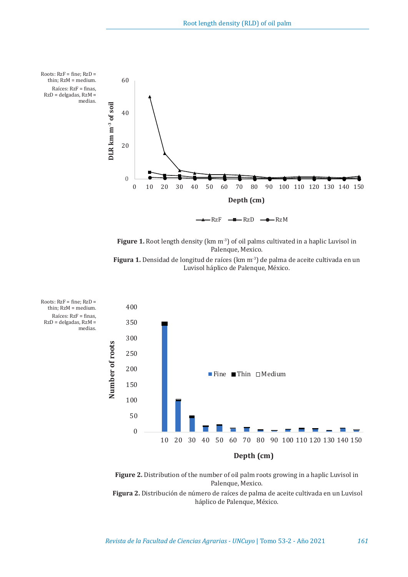

Figure 1. Root length density (km m<sup>-3</sup>) of oil palms cultivated in a haplic Luvisol in Palenque, Mexico.





**Figure 2.** Distribution of the number of oil palm roots growing in a haplic Luvisol in Palenque, Mexico.

**Figura 2.** Distribución de número de raíces de palma de aceite cultivada en un Luvisol háplico de Palenque, México.

Raíces: RzF = finas, RzD = delgadas, RzM = medias.

Roots: RzF = fine; RzD = thin; RzM = medium.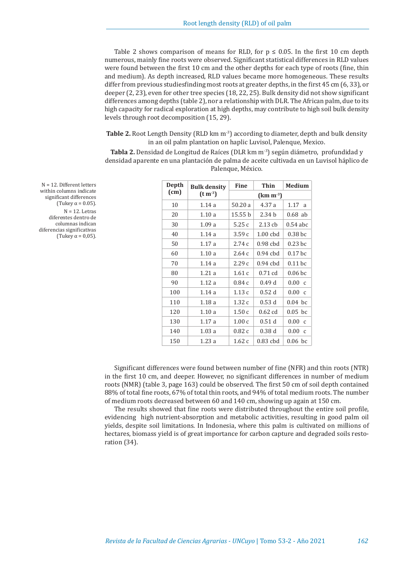Table 2 shows comparison of means for RLD, for  $p \le 0.05$ . In the first 10 cm depth numerous, mainly fine roots were observed. Significant statistical differences in RLD values were found between the first 10 cm and the other depths for each type of roots (fine, thin and medium). As depth increased, RLD values became more homogeneous. These results differ from previous studiesfinding most roots at greater depths, in the first 45 cm (6, 33), or deeper (2, 23), even for other tree species (18, 22, 25). Bulk density did not show significant differences among depths (table 2), nor a relationship with DLR. The African palm, due to its high capacity for radical exploration at high depths, may contribute to high soil bulk density levels through root decomposition (15, 29).

**Table 2.** Root Length Density (RLD km m<sup>-3</sup>) according to diameter, depth and bulk density in an oil palm plantation on haplic Luvisol, Palenque, Mexico.

**Tabla 2.** Densidad de Longitud de Raíces (DLR km m<sup>-3</sup>) según diámetro, profundidad y densidad aparente en una plantación de palma de aceite cultivada en un Luvisol háplico de Palenque, México.

| Depth | <b>Bulk density</b><br>(cm)<br>$(t m-3)$ | <b>Fine</b> | Thin       | Medium                 |
|-------|------------------------------------------|-------------|------------|------------------------|
|       |                                          | $(km m-3)$  |            |                        |
| 10    | 1.14a                                    | 50.20a      | 4.37a      | 1.17 a                 |
| 20    | 1.10a                                    | 15.55 b     | 2.34 b     | $0.68$ ab              |
| 30    | 1.09a                                    | 5.25c       | $2.13$ ch  | $0.54$ abc             |
| 40    | 1.14a                                    | 3.59c       | $1.00$ chd | 0.38 <sub>bc</sub>     |
| 50    | 1.17a                                    | 2.74c       | $0.98$ chd | $0.23$ bc              |
| 60    | 1.10a                                    | 2.64c       | $0.94$ cbd | 0.17 <sub>bc</sub>     |
| 70    | 1.14a                                    | 2.29c       | $0.94$ cbd | $0.11$ bc              |
| 80    | 1.21a                                    | 1.61c       | $0.71$ cd  | $0.06$ bc              |
| 90    | 1.12a                                    | 0.84c       | 0.49d      | 0.00 c                 |
| 100   | 1.14a                                    | 1.13c       | 0.52d      | 0.00 c                 |
| 110   | 1.18a                                    | 1.32c       | 0.53d      | $0.04$ bc              |
| 120   | 1.10a                                    | 1.50c       | $0.62$ cd  | $0.05$ bc              |
| 130   | 1.17a                                    | 1.00c       | 0.51d      | $0.00 \text{ c}$       |
| 140   | 1.03a                                    | 0.82c       | 0.38d      | 0.00<br>C <sub>1</sub> |
| 150   | 1.23a                                    | 1.62c       | $0.83$ cbd | $0.06$ bc              |

N = 12. Different letters within columns indicate significant differences (Tukey  $\alpha$  = 0.05).  $N = 12$ . Letras diferentes dentro de columnas indican diferencias significativas (Tukey  $\alpha$  = 0,05).

> Significant differences were found between number of fine (NFR) and thin roots (NTR) in the first 10 cm, and deeper. However, no significant differences in number of medium roots (NMR) (table 3, page 163) could be observed. The first 50 cm of soil depth contained 88% of total fine roots, 67% of total thin roots, and 94% of total medium roots. The number of medium roots decreased between 60 and 140 cm, showing up again at 150 cm.

> The results showed that fine roots were distributed throughout the entire soil profile, evidencing high nutrient-absorption and metabolic activities, resulting in good palm oil yields, despite soil limitations. In Indonesia, where this palm is cultivated on millions of hectares, biomass yield is of great importance for carbon capture and degraded soils restoration (34).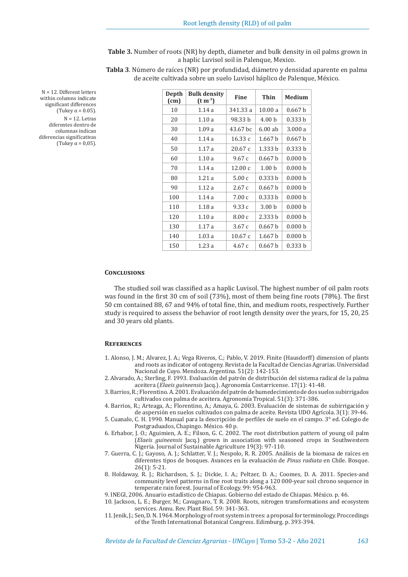**Table 3.** Number of roots (NR) by depth, diameter and bulk density in oil palms grown in a haplic Luvisol soil in Palenque, Mexico.

**Tabla 3**. Número de raíces (NR) por profundidad, diámetro y densidad aparente en palma de aceite cultivada sobre un suelo Luvisol háplico de Palenque, México.

| Depth<br>(cm) | <b>Bulk density</b><br>$(t m-3)$ | <b>Fine</b> | Thin               | <b>Medium</b>      |
|---------------|----------------------------------|-------------|--------------------|--------------------|
| 10            | 1.14a                            | 341.33 a    | 10.00 a            | 0.667h             |
| 20            | 1.10a                            | 98.33 b     | 4.00 <sub>b</sub>  | 0.333 b            |
| 30            | 1.09a                            | 43.67 bc    | $6.00$ ab          | 3.000a             |
| 40            | 1.14a                            | 16.33c      | 1.667 b            | 0.667 b            |
| 50            | 1.17a                            | 20.67c      | 1.333 b            | 0.333 b            |
| 60            | 1.10a                            | 9.67c       | 0.667 <sub>b</sub> | 0.000 <sub>b</sub> |
| 70            | 1.14a                            | 12.00c      | 1.00 <sub>b</sub>  | 0.000 b            |
| 80            | 1.21a                            | 5.00c       | 0.333 b            | 0.000 <sub>b</sub> |
| 90            | 1.12a                            | 2.67c       | 0.667 b            | 0.000 b            |
| 100           | 1.14a                            | 7.00c       | 0.333h             | 0.000 <sub>b</sub> |
| 110           | 1.18a                            | 9.33c       | 3.00 <sub>b</sub>  | 0.000 b            |
| 120           | 1.10a                            | 8.00c       | 2.333h             | 0.000 b            |
| 130           | 1.17a                            | 3.67c       | 0.667 <sub>b</sub> | 0.000 b            |
| 140           | 1.03a                            | 10.67c      | 1.667 <sub>b</sub> | 0.000 <sub>b</sub> |
| 150           | 1.23a                            | 4.67c       | 0.667 b            | 0.333 b            |

N = 12. Different letters within columns indicate significant differences (Tukey α = 0.05).  $N = 12$ . Letras diferentes dentro de columnas indican diferencias significativas (Tukey  $\alpha$  = 0,05).

#### **Conclusions**

The studied soil was classified as a haplic Luvisol. The highest number of oil palm roots was found in the first 30 cm of soil (73%), most of them being fine roots (78%). The first 50 cm contained 88, 67 and 94% of total fine, thin, and medium roots, respectively. Further study is required to assess the behavior of root length density over the years, for 15, 20, 25 and 30 years old plants.

## **References**

- 1. Alonso, J. M.; Alvarez, J. A.; Vega Riveros, C.; Pablo, V. 2019. Finite (Hausdorff) dimension of plants and roots as indicator of ontogeny. Revista de la Facultad de Ciencias Agrarias. Universidad Nacional de Cuyo. Mendoza. Argentina. 51(2): 142-153.
- 2. Alvarado, A.; Sterling, F. 1993. Evaluación del patrón de distribución del sistema radical de la palma aceitera (*Elaeis guineensis* Jacq.). Agronomía Costarricense. 17(1): 41-48.
- 3. Barrios, R.; Florentino. A. 2001. Evaluación del patrón de humedecimiento de dos suelos subirrigados cultivados con palma de aceitera. Agronomía Tropical. 51(3): 371-386.
- 4. Barrios, R.; Arteaga, A.; Florentino, A.; Amaya, G. 2003. Evaluación de sistemas de subirrigación y de aspersión en suelos cultivados con palma de aceite. Revista UDO Agrícola. 3(1): 39-46.
- 5. Cuanalo, C. H. 1990. Manual para la descripción de perfiles de suelo en el campo. 3° ed. Colegio de Postgraduados, Chapingo. México. 40 p.
- 6. Erhabor, J. O.; Aguimien, A. E.; Filson, G. C. 2002. The root distribution pattern of young oil palm (*Elaeis guineensis* Jacq.) grown in association with seasoned crops in Southwestern Nigeria. Journal of Sustainable Agriculture 19(3): 97-110.
- 7. Guerra, C. J.; Gayoso, A. J.; Schlatter, V. J.; Nespolo, R. R. 2005. Análisis de la biomasa de raíces en diferentes tipos de bosques. Avances en la evaluación de *Pinus radiata* en Chile. Bosque. 26(1): 5-21.
- 8. Holdaway, R. J.; Richardson, S. J.; Dickie, I. A.; Peltzer, D. A.; Coomes, D. A. 2011. Species-and community level patterns in fine root traits along a 120 000-year soil chrono sequence in temperate rain forest. Journal of Ecology. 99: 954-963.

9. INEGI, 2006. Anuario estadístico de Chiapas. Gobierno del estado de Chiapas. México. p. 46.

10. Jackson, L. E.; Burger, M.; Cavagnaro, T. R. 2008. Roots, nitrogen transformations and ecosystem services. Annu. Rev. Plant Biol. 59: 341-363.

11. Jenik, J.; Sen, D. N. 1964. Morphology of root system in trees: a proposal for terminology. Proccedings of the Tenth International Botanical Congress. Edimburg. p. 393-394.